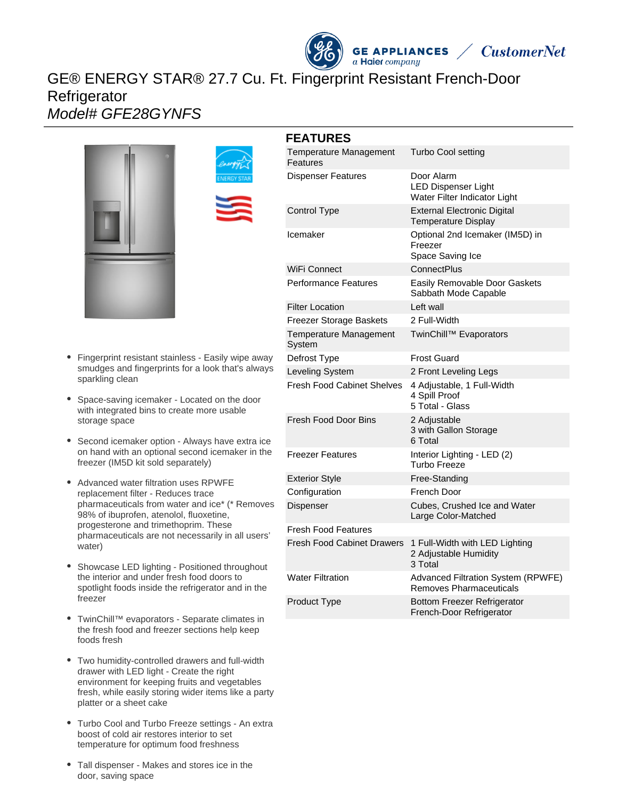# GE® ENERGY STAR® 27.7 Cu. Ft. Fingerprint Resistant French-Door **Refrigerator** Model# GFE28GYNFS





- Space-saving icemaker Located on the door with integrated bins to create more usable storage space
- Second icemaker option Always have extra ice on hand with an optional second icemaker in the freezer (IM5D kit sold separately)
- Advanced water filtration uses RPWFE replacement filter - Reduces trace pharmaceuticals from water and ice\* (\* Removes 98% of ibuprofen, atenolol, fluoxetine, progesterone and trimethoprim. These pharmaceuticals are not necessarily in all users' water)
- Showcase LED lighting Positioned throughout  $\bullet$ the interior and under fresh food doors to spotlight foods inside the refrigerator and in the freezer
- TwinChill™ evaporators Separate climates in the fresh food and freezer sections help keep foods fresh
- Two humidity-controlled drawers and full-width drawer with LED light - Create the right environment for keeping fruits and vegetables fresh, while easily storing wider items like a party platter or a sheet cake
- Turbo Cool and Turbo Freeze settings An extra boost of cold air restores interior to set temperature for optimum food freshness
- Tall dispenser Makes and stores ice in the door, saving space





| <b>Temperature Management</b><br>Features | <b>Turbo Cool setting</b>                                                   |
|-------------------------------------------|-----------------------------------------------------------------------------|
| <b>Dispenser Features</b>                 | Door Alarm<br><b>LED Dispenser Light</b><br>Water Filter Indicator Light    |
| <b>Control Type</b>                       | <b>External Electronic Digital</b><br><b>Temperature Display</b>            |
| Icemaker                                  | Optional 2nd Icemaker (IM5D) in<br>Freezer<br>Space Saving Ice              |
| WiFi Connect                              | <b>ConnectPlus</b>                                                          |
| <b>Performance Features</b>               | Easily Removable Door Gaskets<br>Sabbath Mode Capable                       |
| <b>Filter Location</b>                    | Left wall                                                                   |
| Freezer Storage Baskets                   | 2 Full-Width                                                                |
| Temperature Management<br>System          | TwinChill™ Evaporators                                                      |
| Defrost Type                              | <b>Frost Guard</b>                                                          |
| Leveling System                           | 2 Front Leveling Legs                                                       |
| <b>Fresh Food Cabinet Shelves</b>         | 4 Adjustable, 1 Full-Width<br>4 Spill Proof<br>5 Total - Glass              |
| Fresh Food Door Bins                      | 2 Adjustable<br>3 with Gallon Storage<br>6 Total                            |
| <b>Freezer Features</b>                   | Interior Lighting - LED (2)<br>Turbo Freeze                                 |
| <b>Exterior Style</b>                     | Free-Standing                                                               |
| Configuration                             | French Door                                                                 |
| Dispenser                                 | Cubes, Crushed Ice and Water<br>Large Color-Matched                         |
| <b>Fresh Food Features</b>                |                                                                             |
| Fresh Food Cabinet Drawers                | 1 Full-Width with LED Lighting<br>2 Adjustable Humidity<br>3 Total          |
| <b>Water Filtration</b>                   | <b>Advanced Filtration System (RPWFE)</b><br><b>Removes Pharmaceuticals</b> |
| Product Type                              | <b>Bottom Freezer Refrigerator</b><br>French-Door Refrigerator              |

**GE APPLIANCES**  $a$  Haier company

**CustomerNet**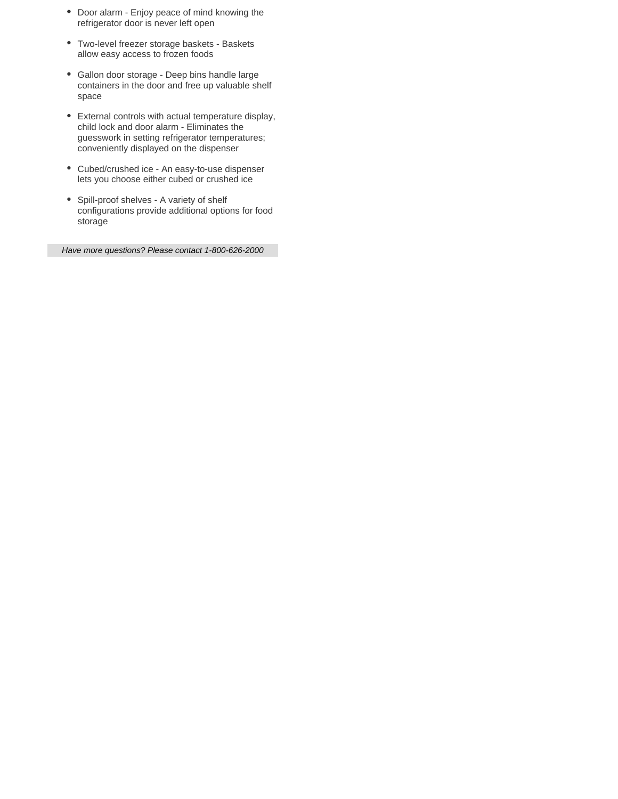- Door alarm Enjoy peace of mind knowing the refrigerator door is never left open
- Two-level freezer storage baskets Baskets allow easy access to frozen foods
- Gallon door storage Deep bins handle large containers in the door and free up valuable shelf space
- External controls with actual temperature display, child lock and door alarm - Eliminates the guesswork in setting refrigerator temperatures; conveniently displayed on the dispenser
- Cubed/crushed ice An easy-to-use dispenser lets you choose either cubed or crushed ice
- Spill-proof shelves A variety of shelf configurations provide additional options for food storage

Have more questions? Please contact 1-800-626-2000